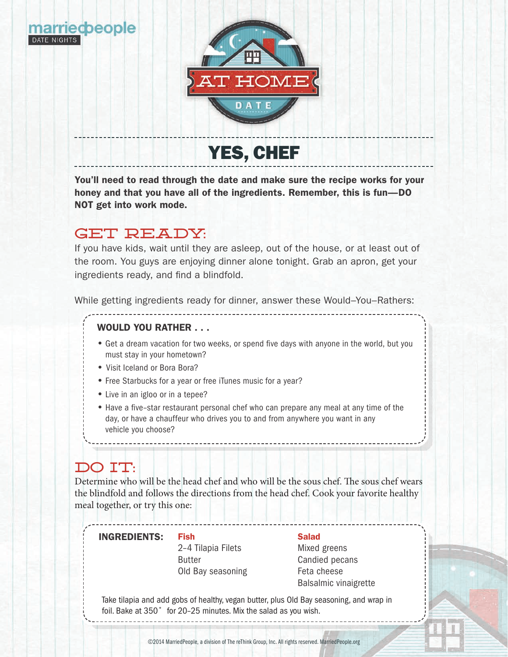

You'll need to read through the date and make sure the recipe works for your honey and that you have all of the ingredients. Remember, this is fun—DO NOT get into work mode.

# GET READY:

If you have kids, wait until they are asleep, out of the house, or at least out of the room. You guys are enjoying dinner alone tonight. Grab an apron, get your ingredients ready, and find a blindfold.

While getting ingredients ready for dinner, answer these Would–You–Rathers:

--------------

### WOULD YOU RATHER . . .

- Get a dream vacation for two weeks, or spend five days with anyone in the world, but you must stay in your hometown?
- Visit Iceland or Bora Bora?
- Free Starbucks for a year or free iTunes music for a year?
- Live in an igloo or in a tepee?
- Have a five–star restaurant personal chef who can prepare any meal at any time of the day, or have a chauffeur who drives you to and from anywhere you want in any vehicle you choose?

# DO TT.

Determine who will be the head chef and who will be the sous chef. The sous chef wears the blindfold and follows the directions from the head chef. Cook your favorite healthy meal together, or try this one:

### **INGREDIENTS:** Fish Salad

2–4 Tilapia Filets Butter Old Bay seasoning

Fish

Mixed greens Candied pecans Feta cheese Balsalmic vinaigrette

Take tilapia and add gobs of healthy, vegan butter, plus Old Bay seasoning, and wrap in foil. Bake at 350˚ for 20–25 minutes. Mix the salad as you wish.

\_\_\_\_\_\_\_\_\_\_\_\_\_\_\_\_\_\_\_\_\_\_